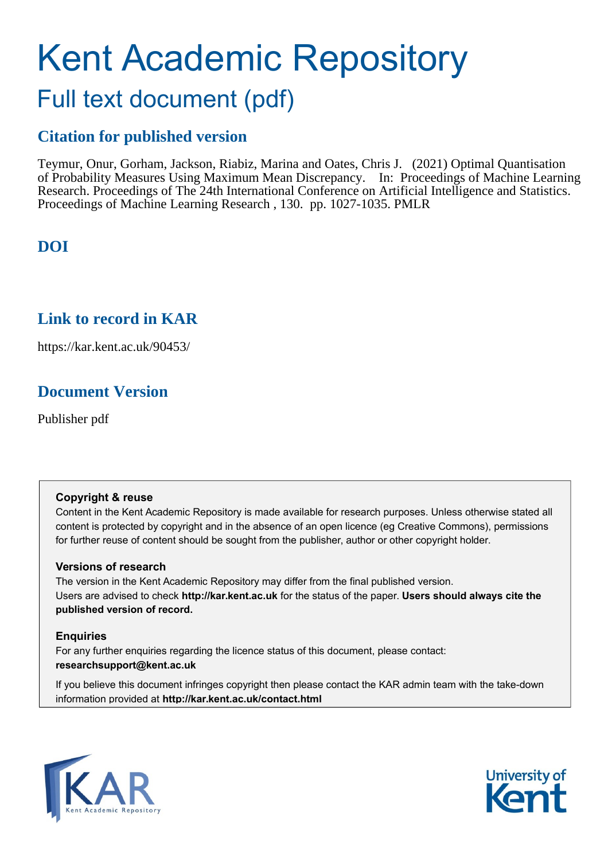# Kent Academic Repository Full text document (pdf)

# **Citation for published version**

Teymur, Onur, Gorham, Jackson, Riabiz, Marina and Oates, Chris J. (2021) Optimal Quantisation of Probability Measures Using Maximum Mean Discrepancy. In: Proceedings of Machine Learning Research. Proceedings of The 24th International Conference on Artificial Intelligence and Statistics. Proceedings of Machine Learning Research , 130. pp. 1027-1035. PMLR

# **DOI**

# **Link to record in KAR**

https://kar.kent.ac.uk/90453/

# **Document Version**

Publisher pdf

## **Copyright & reuse**

Content in the Kent Academic Repository is made available for research purposes. Unless otherwise stated all content is protected by copyright and in the absence of an open licence (eg Creative Commons), permissions for further reuse of content should be sought from the publisher, author or other copyright holder.

## **Versions of research**

The version in the Kent Academic Repository may differ from the final published version. Users are advised to check **http://kar.kent.ac.uk** for the status of the paper. **Users should always cite the published version of record.**

## **Enquiries**

For any further enquiries regarding the licence status of this document, please contact: **researchsupport@kent.ac.uk**

If you believe this document infringes copyright then please contact the KAR admin team with the take-down information provided at **http://kar.kent.ac.uk/contact.html**



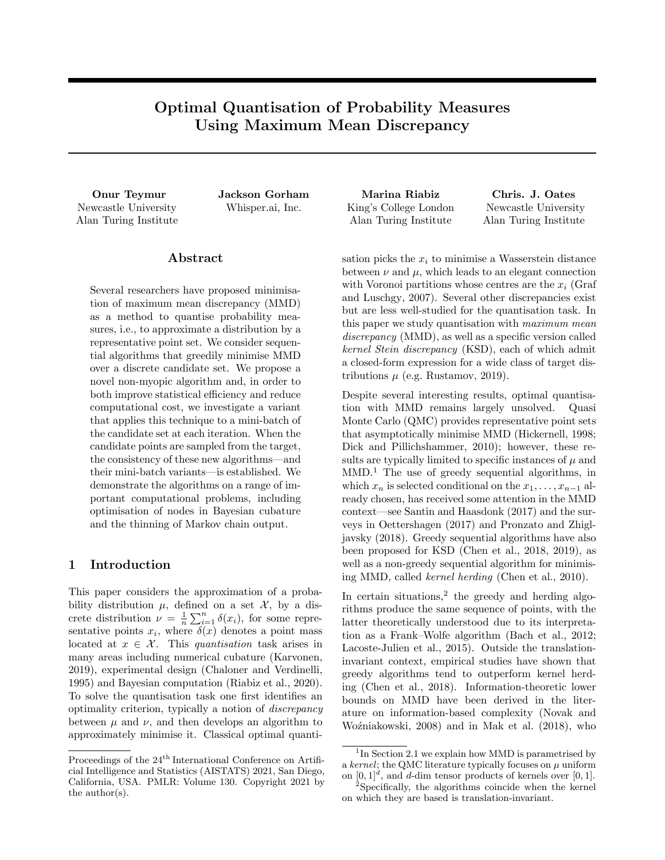## Optimal Quantisation of Probability Measures Using Maximum Mean Discrepancy

Newcastle University Alan Turing Institute

#### Abstract

Several researchers have proposed minimisation of maximum mean discrepancy (MMD) as a method to quantise probability measures, i.e., to approximate a distribution by a representative point set. We consider sequential algorithms that greedily minimise MMD over a discrete candidate set. We propose a novel non-myopic algorithm and, in order to both improve statistical efficiency and reduce computational cost, we investigate a variant that applies this technique to a mini-batch of the candidate set at each iteration. When the candidate points are sampled from the target, the consistency of these new algorithms—and their mini-batch variants—is established. We demonstrate the algorithms on a range of important computational problems, including optimisation of nodes in Bayesian cubature and the thinning of Markov chain output.

#### 1 Introduction

This paper considers the approximation of a probability distribution  $\mu$ , defined on a set  $\mathcal{X}$ , by a discrete distribution  $\nu = \frac{1}{n} \sum_{i=1}^{n} \delta(x_i)$ , for some representative points  $x_i$ , where  $\delta(x)$  denotes a point mass located at  $x \in \mathcal{X}$ . This *quantisation* task arises in many areas including numerical cubature (Karvonen, 2019), experimental design (Chaloner and Verdinelli, 1995) and Bayesian computation (Riabiz et al., 2020). To solve the quantisation task one first identifies an optimality criterion, typically a notion of *discrepancy* between  $\mu$  and  $\nu$ , and then develops an algorithm to approximately minimise it. Classical optimal quanti-

Onur Teymur Jackson Gorham Marina Riabiz Chris. J. Oates Whisper.ai, Inc. King's College London Alan Turing Institute

Newcastle University Alan Turing Institute

sation picks the  $x_i$  to minimise a Wasserstein distance between  $\nu$  and  $\mu$ , which leads to an elegant connection with Voronoi partitions whose centres are the *x<sup>i</sup>* (Graf and Luschgy, 2007). Several other discrepancies exist but are less well-studied for the quantisation task. In this paper we study quantisation with *maximum mean discrepancy* (MMD), as well as a specific version called *kernel Stein discrepancy* (KSD), each of which admit a closed-form expression for a wide class of target distributions  $\mu$  (e.g. Rustamov, 2019).

Despite several interesting results, optimal quantisation with MMD remains largely unsolved. Quasi Monte Carlo (QMC) provides representative point sets that asymptotically minimise MMD (Hickernell, 1998; Dick and Pillichshammer, 2010); however, these results are typically limited to specific instances of  $\mu$  and MMD. <sup>1</sup> The use of greedy sequential algorithms, in which  $x_n$  is selected conditional on the  $x_1, \ldots, x_{n-1}$  already chosen, has received some attention in the MMD context—see Santin and Haasdonk (2017) and the surveys in Oettershagen (2017) and Pronzato and Zhigljavsky (2018). Greedy sequential algorithms have also been proposed for KSD (Chen et al., 2018, 2019), as well as a non-greedy sequential algorithm for minimising MMD, called *kernel herding* (Chen et al., 2010).

In certain situations, <sup>2</sup> the greedy and herding algorithms produce the same sequence of points, with the latter theoretically understood due to its interpretation as a Frank–Wolfe algorithm (Bach et al., 2012; Lacoste-Julien et al., 2015). Outside the translationinvariant context, empirical studies have shown that greedy algorithms tend to outperform kernel herding (Chen et al., 2018). Information-theoretic lower bounds on MMD have been derived in the literature on information-based complexity (Novak and Woźniakowski, 2008) and in Mak et al. (2018), who

Proceedings of the  $24^{\rm th}$  International Conference on Artificial Intelligence and Statistics (AISTATS) 2021, San Diego, California, USA. PMLR: Volume 130. Copyright 2021 by the author(s).

 $1\text{In Section 2.1 we explain how MMD is parametrised by }$ a *kernel*; the QMC literature typically focuses on  $\mu$  uniform on  $[0, 1]^d$ , and *d*-dim tensor products of kernels over  $[0, 1]$ .

<sup>2</sup>Specifically, the algorithms coincide when the kernel on which they are based is translation-invariant.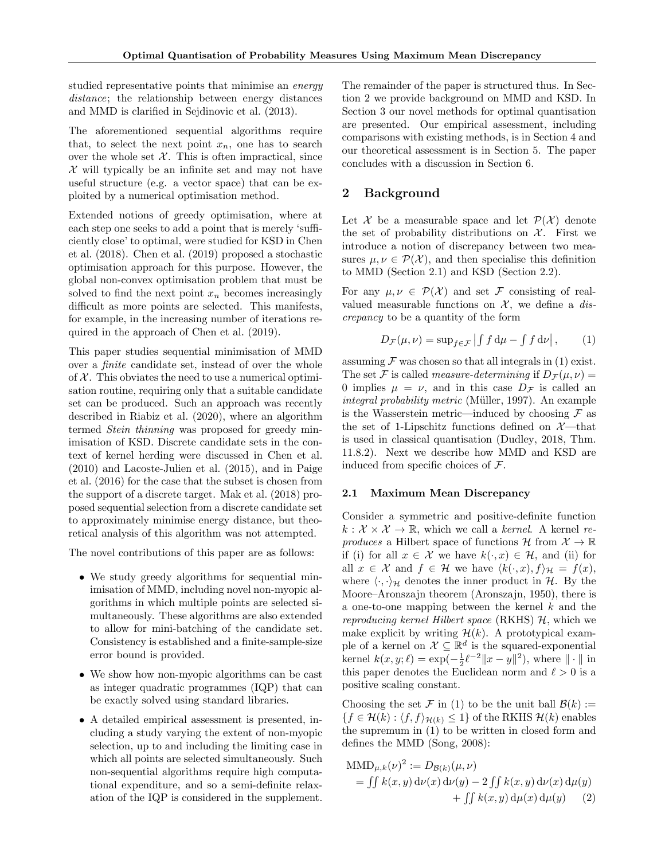studied representative points that minimise an *energy distance*; the relationship between energy distances and MMD is clarified in Sejdinovic et al. (2013).

The aforementioned sequential algorithms require that, to select the next point  $x_n$ , one has to search over the whole set  $X$ . This is often impractical, since *X* will typically be an infinite set and may not have useful structure (e.g. a vector space) that can be exploited by a numerical optimisation method.

Extended notions of greedy optimisation, where at each step one seeks to add a point that is merely 'sufficiently close' to optimal, were studied for KSD in Chen et al. (2018). Chen et al. (2019) proposed a stochastic optimisation approach for this purpose. However, the global non-convex optimisation problem that must be solved to find the next point  $x_n$  becomes increasingly difficult as more points are selected. This manifests, for example, in the increasing number of iterations required in the approach of Chen et al. (2019).

This paper studies sequential minimisation of MMD over a *finite* candidate set, instead of over the whole of  $X$ . This obviates the need to use a numerical optimisation routine, requiring only that a suitable candidate set can be produced. Such an approach was recently described in Riabiz et al. (2020), where an algorithm termed *Stein thinning* was proposed for greedy minimisation of KSD. Discrete candidate sets in the context of kernel herding were discussed in Chen et al. (2010) and Lacoste-Julien et al. (2015), and in Paige et al. (2016) for the case that the subset is chosen from the support of a discrete target. Mak et al. (2018) proposed sequential selection from a discrete candidate set to approximately minimise energy distance, but theoretical analysis of this algorithm was not attempted.

The novel contributions of this paper are as follows:

- *•* We study greedy algorithms for sequential minimisation of MMD, including novel non-myopic algorithms in which multiple points are selected simultaneously. These algorithms are also extended to allow for mini-batching of the candidate set. Consistency is established and a finite-sample-size error bound is provided.
- We show how non-myopic algorithms can be cast as integer quadratic programmes (IQP) that can be exactly solved using standard libraries.
- *•* A detailed empirical assessment is presented, including a study varying the extent of non-myopic selection, up to and including the limiting case in which all points are selected simultaneously. Such non-sequential algorithms require high computational expenditure, and so a semi-definite relaxation of the IQP is considered in the supplement.

The remainder of the paper is structured thus. In Section 2 we provide background on MMD and KSD. In Section 3 our novel methods for optimal quantisation are presented. Our empirical assessment, including comparisons with existing methods, is in Section 4 and our theoretical assessment is in Section 5. The paper concludes with a discussion in Section 6.

### 2 Background

Let *X* be a measurable space and let  $\mathcal{P}(\mathcal{X})$  denote the set of probability distributions on  $\mathcal{X}$ . First we introduce a notion of discrepancy between two measures  $\mu, \nu \in \mathcal{P}(\mathcal{X})$ , and then specialise this definition to MMD (Section 2.1) and KSD (Section 2.2).

For any  $\mu, \nu \in \mathcal{P}(\mathcal{X})$  and set F consisting of realvalued measurable functions on  $X$ , we define a *discrepancy* to be a quantity of the form

$$
D_{\mathcal{F}}(\mu,\nu) = \sup_{f \in \mathcal{F}} | \int f \, \mathrm{d}\mu - \int f \, \mathrm{d}\nu | , \qquad (1)
$$

assuming  $\mathcal F$  was chosen so that all integrals in (1) exist. The set *F* is called *measure-determining* if  $D_F(\mu, \nu)$  = 0 implies  $\mu = \nu$ , and in this case  $D_{\mathcal{F}}$  is called an *integral probability metric* (Müller, 1997). An example is the Wasserstein metric—induced by choosing  $\mathcal F$  as the set of 1-Lipschitz functions defined on  $\mathcal{X}$ —that is used in classical quantisation (Dudley, 2018, Thm. 11.8.2). Next we describe how MMD and KSD are induced from specific choices of *F*.

#### 2.1 Maximum Mean Discrepancy

Consider a symmetric and positive-definite function  $k: \mathcal{X} \times \mathcal{X} \to \mathbb{R}$ , which we call a *kernel*. A kernel *reproduces* a Hilbert space of functions  $\mathcal{H}$  from  $\mathcal{X} \to \mathbb{R}$ if (i) for all  $x \in \mathcal{X}$  we have  $k(\cdot, x) \in \mathcal{H}$ , and (ii) for all  $x \in \mathcal{X}$  and  $f \in \mathcal{H}$  we have  $\langle k(\cdot, x), f \rangle_{\mathcal{H}} = f(x)$ , where  $\langle \cdot, \cdot \rangle_{\mathcal{H}}$  denotes the inner product in  $\mathcal{H}$ . By the Moore–Aronszajn theorem (Aronszajn, 1950), there is a one-to-one mapping between the kernel *k* and the *reproducing kernel Hilbert space* (RKHS) *H*, which we make explicit by writing  $\mathcal{H}(k)$ . A prototypical example of a kernel on  $\mathcal{X} \subseteq \mathbb{R}^d$  is the squared-exponential kernel  $k(x, y; \ell) = \exp(-\frac{1}{2}\ell^{-2}||x - y||^2)$ , where  $|| \cdot ||$  in this paper denotes the Euclidean norm and  $\ell > 0$  is a positive scaling constant.

Choosing the set  $\mathcal F$  in (1) to be the unit ball  $\mathcal B(k) :=$  ${f \in H(k) : \langle f, f \rangle_{\mathcal{H}(k)} \leq 1}$  of the RKHS  $\mathcal{H}(k)$  enables the supremum in (1) to be written in closed form and defines the MMD (Song, 2008):

$$
\begin{aligned} \text{MMD}_{\mu,k}(\nu)^2 &:= D_{\mathcal{B}(k)}(\mu,\nu) \\ &= \iint k(x,y) \, \mathrm{d}\nu(x) \, \mathrm{d}\nu(y) - 2 \iint k(x,y) \, \mathrm{d}\nu(x) \, \mathrm{d}\mu(y) \\ &\quad + \iint k(x,y) \, \mathrm{d}\mu(x) \, \mathrm{d}\mu(y) \end{aligned}
$$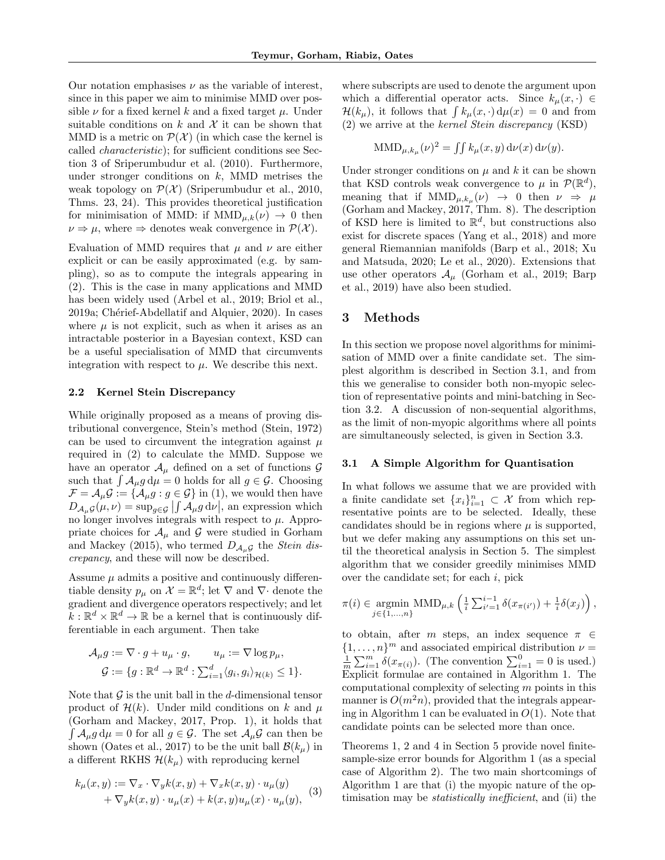Our notation emphasises  $\nu$  as the variable of interest, since in this paper we aim to minimise MMD over possible  $\nu$  for a fixed kernel  $k$  and a fixed target  $\mu$ . Under suitable conditions on  $k$  and  $\mathcal X$  it can be shown that MMD is a metric on  $\mathcal{P}(\mathcal{X})$  (in which case the kernel is called *characteristic*); for sufficient conditions see Section 3 of Sriperumbudur et al. (2010). Furthermore, under stronger conditions on *k*, MMD metrises the weak topology on  $\mathcal{P}(\mathcal{X})$  (Sriperumbudur et al., 2010, Thms. 23, 24). This provides theoretical justification for minimisation of MMD: if  $MMD_{\mu,k}(\nu) \rightarrow 0$  then  $\nu \Rightarrow \mu$ , where  $\Rightarrow$  denotes weak convergence in  $\mathcal{P}(\mathcal{X})$ .

Evaluation of MMD requires that  $\mu$  and  $\nu$  are either explicit or can be easily approximated (e.g. by sampling), so as to compute the integrals appearing in (2). This is the case in many applications and MMD has been widely used (Arbel et al., 2019; Briol et al., 2019a; Chérief-Abdellatif and Alquier, 2020). In cases where  $\mu$  is not explicit, such as when it arises as an intractable posterior in a Bayesian context, KSD can be a useful specialisation of MMD that circumvents integration with respect to  $\mu$ . We describe this next.

#### 2.2 Kernel Stein Discrepancy

While originally proposed as a means of proving distributional convergence, Stein's method (Stein, 1972) can be used to circumvent the integration against  $\mu$ required in (2) to calculate the MMD. Suppose we have an operator  $A_\mu$  defined on a set of functions  $G$ such that  $\int A_\mu g d\mu = 0$  holds for all  $g \in \mathcal{G}$ . Choosing  $\mathcal{F} = \mathcal{A}_{\mu} \mathcal{G} := \{ \mathcal{A}_{\mu} g : g \in \mathcal{G} \}$  in (1), we would then have  $D_{\mathcal{A}_\mu} g(\mu, \nu) = \sup_{g \in \mathcal{G}} \left| \int \mathcal{A}_\mu g \, d\nu \right|$ , an expression which no longer involves integrals with respect to  $\mu$ . Appropriate choices for  $A_\mu$  and  $G$  were studied in Gorham and Mackey (2015), who termed  $D_{\mathcal{A}_\mu\mathcal{G}}$  the *Stein* dis*crepancy*, and these will now be described.

Assume  $\mu$  admits a positive and continuously differentiable density  $p_{\mu}$  on  $\mathcal{X} = \mathbb{R}^d$ ; let  $\nabla$  and  $\nabla$ *·* denote the gradient and divergence operators respectively; and let  $k: \mathbb{R}^d \times \mathbb{R}^d \to \mathbb{R}$  be a kernel that is continuously differentiable in each argument. Then take

$$
\mathcal{A}_{\mu}g := \nabla \cdot g + u_{\mu} \cdot g, \qquad u_{\mu} := \nabla \log p_{\mu},
$$

$$
\mathcal{G} := \{ g : \mathbb{R}^d \to \mathbb{R}^d : \sum_{i=1}^d \langle g_i, g_i \rangle_{\mathcal{H}(k)} \le 1 \}.
$$

Note that  $\mathcal G$  is the unit ball in the *d*-dimensional tensor product of  $\mathcal{H}(k)$ . Under mild conditions on k and  $\mu$ (Gorham and Mackey, 2017, Prop. 1), it holds that  $\int A_{\mu} g d\mu = 0$  for all  $g \in \mathcal{G}$ . The set  $A_{\mu} \mathcal{G}$  can then be shown (Oates et al., 2017) to be the unit ball  $\mathcal{B}(k_\mu)$  in a different RKHS  $\mathcal{H}(k_\mu)$  with reproducing kernel

$$
k_{\mu}(x,y) := \nabla_x \cdot \nabla_y k(x,y) + \nabla_x k(x,y) \cdot u_{\mu}(y) + \nabla_y k(x,y) \cdot u_{\mu}(x) + k(x,y)u_{\mu}(x) \cdot u_{\mu}(y),
$$
 (3)

where subscripts are used to denote the argument upon which a differential operator acts. Since  $k_{\mu}(x, \cdot) \in$  $\mathcal{H}(k_{\mu})$ , it follows that  $\int k_{\mu}(x,\cdot) d\mu(x) = 0$  and from (2) we arrive at the *kernel Stein discrepancy* (KSD)

$$
\text{MMD}_{\mu, k_{\mu}}(\nu)^{2} = \iint k_{\mu}(x, y) \, \mathrm{d}\nu(x) \, \mathrm{d}\nu(y).
$$

Under stronger conditions on  $\mu$  and  $k$  it can be shown that KSD controls weak convergence to  $\mu$  in  $\mathcal{P}(\mathbb{R}^d)$ , meaning that if  $MMD_{\mu, k_{\mu}}(\nu) \rightarrow 0$  then  $\nu \Rightarrow \mu$ (Gorham and Mackey, 2017, Thm. 8). The description of KSD here is limited to  $\mathbb{R}^d$ , but constructions also exist for discrete spaces (Yang et al., 2018) and more general Riemannian manifolds (Barp et al., 2018; Xu and Matsuda, 2020; Le et al., 2020). Extensions that use other operators  $A_\mu$  (Gorham et al., 2019; Barp et al., 2019) have also been studied.

#### 3 Methods

In this section we propose novel algorithms for minimisation of MMD over a finite candidate set. The simplest algorithm is described in Section 3.1, and from this we generalise to consider both non-myopic selection of representative points and mini-batching in Section 3.2. A discussion of non-sequential algorithms, as the limit of non-myopic algorithms where all points are simultaneously selected, is given in Section 3.3.

#### 3.1 A Simple Algorithm for Quantisation

In what follows we assume that we are provided with a finite candidate set  $\{x_i\}_{i=1}^n \subset \mathcal{X}$  from which representative points are to be selected. Ideally, these candidates should be in regions where  $\mu$  is supported, but we defer making any assumptions on this set until the theoretical analysis in Section 5. The simplest algorithm that we consider greedily minimises MMD over the candidate set; for each *i*, pick

$$
\pi(i) \in \underset{j \in \{1,\ldots,n\}}{\text{argmin}} \text{MMD}_{\mu,k} \left( \frac{1}{i} \sum_{i'=1}^{i-1} \delta(x_{\pi(i')}) + \frac{1}{i} \delta(x_j) \right),
$$

to obtain, after *m* steps, an index sequence  $\pi \in$  ${1, \ldots, n}^m$  and associated empirical distribution  $\nu =$  $\frac{1}{m}\sum_{i=1}^{m} \delta(x_{\pi(i)})$ . (The convention  $\sum_{i=1}^{0} = 0$  is used.) Explicit formulae are contained in Algorithm 1. The computational complexity of selecting *m* points in this manner is  $O(m^2n)$ , provided that the integrals appearing in Algorithm 1 can be evaluated in *O*(1). Note that candidate points can be selected more than once.

Theorems 1, 2 and 4 in Section 5 provide novel finitesample-size error bounds for Algorithm 1 (as a special case of Algorithm 2). The two main shortcomings of Algorithm 1 are that (i) the myopic nature of the optimisation may be *statistically ine*ffi*cient*, and (ii) the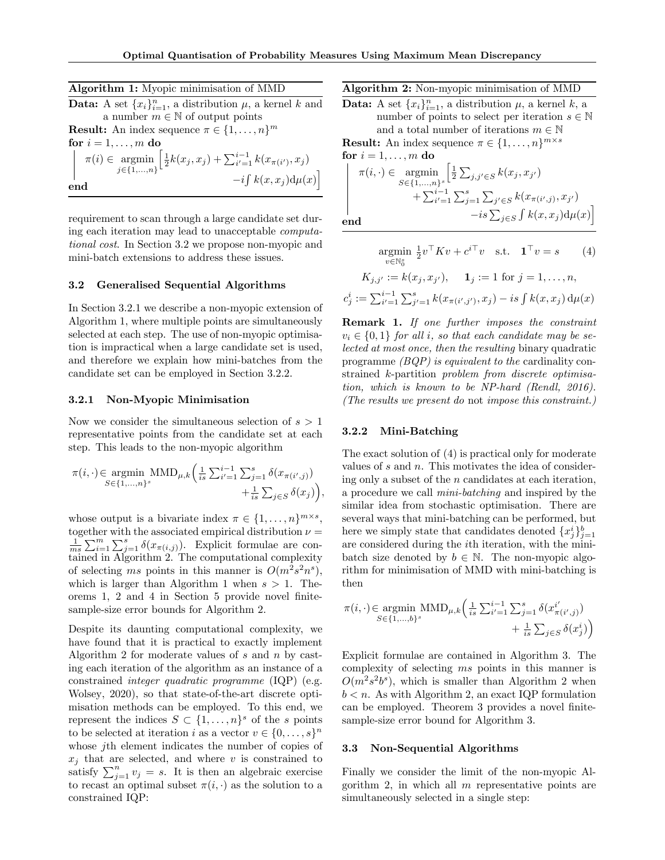*ci*

Algorithm 1: Myopic minimisation of MMD **Data:** A set  $\{x_i\}_{i=1}^n$ , a distribution  $\mu$ , a kernel  $k$  and a number  $m \in \mathbb{N}$  of output points **Result:** An index sequence  $\pi \in \{1, \ldots, n\}^m$ for  $i = 1, \ldots, m$  do  $\pi(i) \in \operatorname*{argmin}_{j \in \{1, \ldots, n\}} \left[ \frac{1}{2} k(x_j, x_j) + \sum_{i'=1}^{i-1} k(x_{\pi(i')}, x_j) \right]$  $-i\int k(x, x_j) d\mu(x)$ |<br>| end

requirement to scan through a large candidate set during each iteration may lead to unacceptable *computational cost*. In Section 3.2 we propose non-myopic and mini-batch extensions to address these issues.

#### 3.2 Generalised Sequential Algorithms

In Section 3.2.1 we describe a non-myopic extension of Algorithm 1, where multiple points are simultaneously selected at each step. The use of non-myopic optimisation is impractical when a large candidate set is used, and therefore we explain how mini-batches from the candidate set can be employed in Section 3.2.2.

#### 3.2.1 Non-Myopic Minimisation

Now we consider the simultaneous selection of  $s > 1$ representative points from the candidate set at each step. This leads to the non-myopic algorithm

$$
\pi(i, \cdot) \in \underset{S \in \{1, \ldots, n\}^s}{\text{argmin}} \text{MMD}_{\mu, k} \left( \frac{1}{is} \sum_{i'=1}^{i-1} \sum_{j=1}^s \delta(x_{\pi(i', j)}) + \frac{1}{is} \sum_{j \in S} \delta(x_j) \right),
$$

whose output is a bivariate index  $\pi \in \{1, \ldots, n\}^{m \times s}$ , together with the associated empirical distribution  $\nu =$  $\frac{1}{ms} \sum_{i=1}^{m} \sum_{j=1}^{s} \delta(x_{\pi(i,j)})$ . Explicit formulae are contained in Algorithm 2. The computational complexity of selecting *ms* points in this manner is  $O(m^2s^2n^s)$ , which is larger than Algorithm 1 when  $s > 1$ . Theorems 1, 2 and 4 in Section 5 provide novel finitesample-size error bounds for Algorithm 2.

Despite its daunting computational complexity, we have found that it is practical to exactly implement Algorithm 2 for moderate values of *s* and *n* by casting each iteration of the algorithm as an instance of a constrained *integer quadratic programme* (IQP) (e.g. Wolsey, 2020), so that state-of-the-art discrete optimisation methods can be employed. To this end, we represent the indices  $S \subset \{1, \ldots, n\}^s$  of the *s* points to be selected at iteration *i* as a vector  $v \in \{0, \ldots, s\}^n$ whose *j*th element indicates the number of copies of  $x_i$  that are selected, and where  $v$  is constrained to satisfy  $\sum_{j=1}^{n} v_j = s$ . It is then an algebraic exercise to recast an optimal subset  $\pi(i, \cdot)$  as the solution to a constrained IQP:

Algorithm 2: Non-myopic minimisation of MMD

**Data:** A set  $\{x_i\}_{i=1}^n$ , a distribution  $\mu$ , a kernel  $k$ , a number of points to select per iteration  $s \in \mathbb{N}$ and a total number of iterations  $m \in \mathbb{N}$ 

**Result:** An index sequence  $\pi \in \{1, \ldots, n\}^{m \times s}$ 

$$
\begin{aligned}\n\text{for } i = 1, \dots, m \text{ do} \\
\pi(i, \cdot) &\in \operatorname*{argmin}_{S \in \{1, \dots, n\}^s} \left[ \frac{1}{2} \sum_{j, j' \in S} k(x_j, x_{j'}) \right. \\
&\quad \left. + \sum_{i'=1}^{i-1} \sum_{j=1}^s \sum_{j' \in S} k(x_{\pi(i',j)}, x_{j'}) \right. \\
&\quad \left. - i s \sum_{j \in S} \int k(x, x_j) \mathrm{d}\mu(x) \right]\n\end{aligned}
$$

$$
\underset{v \in \mathbb{N}_0^s}{\text{argmin}} \frac{1}{2} v^\top K v + c^{i \top} v \quad \text{s.t.} \quad \mathbf{1}^\top v = s \qquad (4)
$$
\n
$$
K_{j,j'} := k(x_j, x_{j'}), \qquad \mathbf{1}_j := 1 \text{ for } j = 1, \dots, n,
$$
\n
$$
K_{j} := \sum_{i'=1}^{i-1} \sum_{j'=1}^s k(x_{\pi(i',j')}, x_j) - is \int k(x, x_j) \, \mathrm{d}\mu(x)
$$

Remark 1. *If one further imposes the constraint*  $v_i \in \{0, 1\}$  *for all i, so that each candidate may be selected at most once, then the resulting* binary quadratic programme *(BQP) is equivalent to the* cardinality constrained *k*-partition *problem from discrete optimisation, which is known to be NP-hard (Rendl, 2016). (The results we present do* not *impose this constraint.)*

#### 3.2.2 Mini-Batching

The exact solution of (4) is practical only for moderate values of *s* and *n*. This motivates the idea of considering only a subset of the *n* candidates at each iteration, a procedure we call *mini-batching* and inspired by the similar idea from stochastic optimisation. There are several ways that mini-batching can be performed, but here we simply state that candidates denoted  ${x_j^i}_{j=1}$ are considered during the *i*th iteration, with the minibatch size denoted by  $b \in \mathbb{N}$ . The non-myopic algorithm for minimisation of MMD with mini-batching is then

$$
\pi(i, \cdot) \in \underset{S \in \{1, \ldots, b\}^s}{\text{argmin}} \text{MMD}_{\mu, k} \left( \frac{1}{is} \sum_{i'=1}^{i-1} \sum_{j=1}^s \delta(x_{\pi(i',j)}^{i'}) + \frac{1}{is} \sum_{j \in S} \delta(x_j^i) \right)
$$

Explicit formulae are contained in Algorithm 3. The complexity of selecting *ms* points in this manner is  $O(m^2s^2b^s)$ , which is smaller than Algorithm 2 when  $b < n$ . As with Algorithm 2, an exact IQP formulation can be employed. Theorem 3 provides a novel finitesample-size error bound for Algorithm 3.

#### 3.3 Non-Sequential Algorithms

Finally we consider the limit of the non-myopic Algorithm 2, in which all *m* representative points are simultaneously selected in a single step: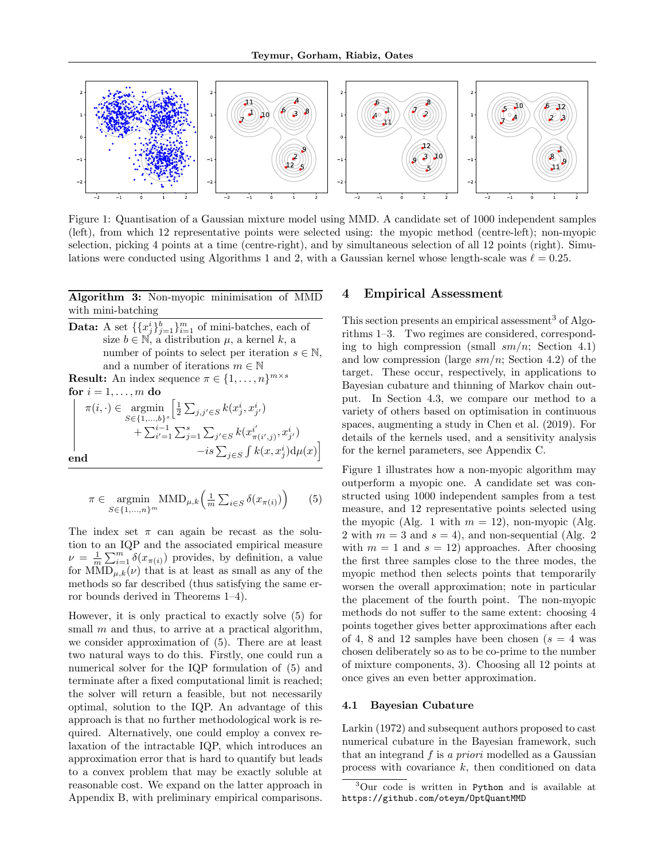

Figure 1: Quantisation of a Gaussian mixture model using MMD. A candidate set of 1000 independent samples (left), from which 12 representative points were selected using: the myopic method (centre-left); non-myopic selection, picking 4 points at a time (centre-right), and by simultaneous selection of all 12 points (right). Simulations were conducted using Algorithms 1 and 2, with a Gaussian kernel whose length-scale was  $\ell = 0.25$ .

Algorithm 3: Non-myopic minimisation of MMD with mini-batching

**Data:** A set  $\{\{x_j^i\}_{j=1}^h\}_{i=1}^m$  of mini-batches, each of size  $b \in \mathbb{N}$ , a distribution  $\mu$ , a kernel  $k$ , a number of points to select per iteration  $s \in \mathbb{N}$ , and a number of iterations  $m \in \mathbb{N}$ **Result:** An index sequence  $\pi \in \{1, \ldots, n\}^{m \times s}$ 

$$
\begin{aligned}\n\text{for } i = 1, \dots, m \text{ do} \\
\pi(i, \cdot) &\in \operatorname*{argmin}_{S \in \{1, \dots, b\}^s} \left[ \frac{1}{2} \sum_{j, j' \in S} k(x_j^i, x_{j'}^i) + \sum_{i'=1}^{i-1} \sum_{j=1}^s \sum_{j' \in S} k(x_{\pi(i', j)}^{i'}, x_{j'}^i) - i s \sum_{j \in S} \int k(x, x_j^i) d\mu(x) \right]\n\end{aligned}
$$

$$
\pi \in \underset{S \in \{1, \ldots, n\}^m}{\operatorname{argmin}} \text{MMD}_{\mu, k} \left( \frac{1}{m} \sum_{i \in S} \delta(x_{\pi(i)}) \right) \qquad (5)
$$

The index set  $\pi$  can again be recast as the solution to an IQP and the associated empirical measure  $\nu = \frac{1}{m} \sum_{i=1}^{m} \delta(x_{\pi(i)})$  provides, by definition, a value for  $MMD_{\mu,k}(\nu)$  that is at least as small as any of the methods so far described (thus satisfying the same error bounds derived in Theorems 1–4).

However, it is only practical to exactly solve (5) for small *m* and thus, to arrive at a practical algorithm, we consider approximation of (5). There are at least two natural ways to do this. Firstly, one could run a numerical solver for the IQP formulation of (5) and terminate after a fixed computational limit is reached; the solver will return a feasible, but not necessarily optimal, solution to the IQP. An advantage of this approach is that no further methodological work is required. Alternatively, one could employ a convex relaxation of the intractable IQP, which introduces an approximation error that is hard to quantify but leads to a convex problem that may be exactly soluble at reasonable cost. We expand on the latter approach in Appendix B, with preliminary empirical comparisons.

#### 4 Empirical Assessment

This section presents an empirical assessment<sup>3</sup> of Algorithms 1–3. Two regimes are considered, corresponding to high compression (small *sm/n*; Section 4.1) and low compression (large *sm/n*; Section 4.2) of the target. These occur, respectively, in applications to Bayesian cubature and thinning of Markov chain output. In Section 4.3, we compare our method to a variety of others based on optimisation in continuous spaces, augmenting a study in Chen et al. (2019). For details of the kernels used, and a sensitivity analysis for the kernel parameters, see Appendix C.

Figure 1 illustrates how a non-myopic algorithm may outperform a myopic one. A candidate set was constructed using 1000 independent samples from a test measure, and 12 representative points selected using the myopic (Alg. 1 with  $m = 12$ ), non-myopic (Alg. 2 with  $m = 3$  and  $s = 4$ ), and non-sequential (Alg. 2) with  $m = 1$  and  $s = 12$ ) approaches. After choosing the first three samples close to the three modes, the myopic method then selects points that temporarily worsen the overall approximation; note in particular the placement of the fourth point. The non-myopic methods do not suffer to the same extent: choosing 4 points together gives better approximations after each of 4, 8 and 12 samples have been chosen  $(s = 4$  was chosen deliberately so as to be co-prime to the number of mixture components, 3). Choosing all 12 points at once gives an even better approximation.

#### 4.1 Bayesian Cubature

Larkin (1972) and subsequent authors proposed to cast numerical cubature in the Bayesian framework, such that an integrand *f* is *a priori* modelled as a Gaussian process with covariance *k*, then conditioned on data

<sup>3</sup>Our code is written in Python and is available at https://github.com/oteym/OptQuantMMD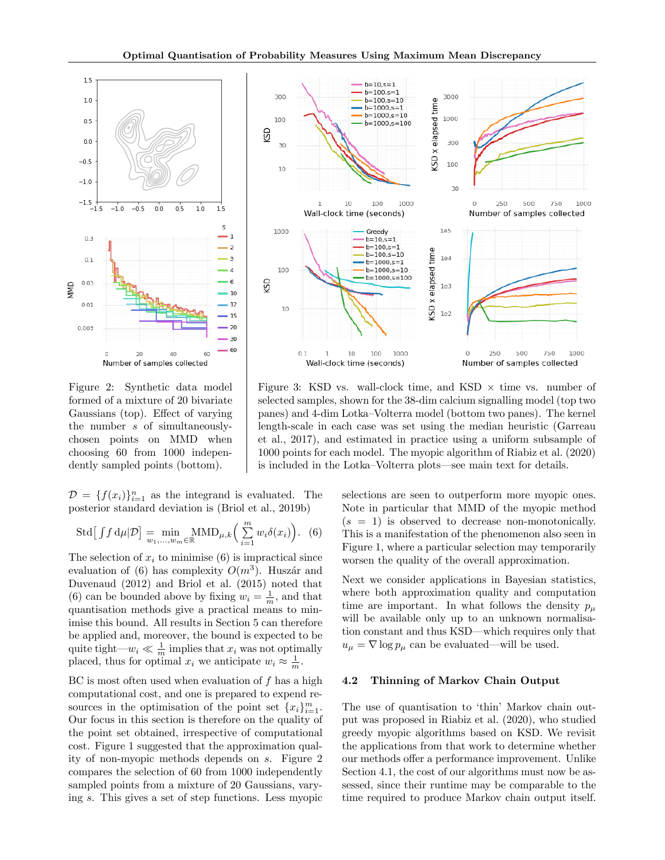

Figure 2: Synthetic data model formed of a mixture of 20 bivariate Gaussians (top). Effect of varying the number *s* of simultaneouslychosen points on MMD when choosing 60 from 1000 independently sampled points (bottom).

 $D = \{f(x_i)\}_{i=1}^n$  as the integrand is evaluated. The posterior standard deviation is (Briol et al., 2019b)

$$
\text{Std}\big[\int f \, d\mu | \mathcal{D}\big] = \min_{w_1,\dots,w_m \in \mathbb{R}} \text{MMD}_{\mu,k} \bigg(\sum_{i=1}^m w_i \delta(x_i)\bigg). \tag{6}
$$

The selection of  $x_i$  to minimise  $(6)$  is impractical since evaluation of (6) has complexity  $O(m^3)$ . Huszár and Duvenaud (2012) and Briol et al. (2015) noted that (6) can be bounded above by fixing  $w_i = \frac{1}{m}$ , and that quantisation methods give a practical means to minimise this bound. All results in Section 5 can therefore be applied and, moreover, the bound is expected to be quite tight— $w_i \ll \frac{1}{m}$  implies that  $x_i$  was not optimally placed, thus for optimal  $x_i$  we anticipate  $w_i \approx \frac{1}{m}$ .

BC is most often used when evaluation of *f* has a high computational cost, and one is prepared to expend resources in the optimisation of the point set  ${x_i}_{i=1}^m$ . Our focus in this section is therefore on the quality of the point set obtained, irrespective of computational cost. Figure 1 suggested that the approximation quality of non-myopic methods depends on *s*. Figure 2 compares the selection of 60 from 1000 independently sampled points from a mixture of 20 Gaussians, varying *s*. This gives a set of step functions. Less myopic



Figure 3: KSD vs. wall-clock time, and KSD  $\times$  time vs. number of selected samples, shown for the 38-dim calcium signalling model (top two panes) and 4-dim Lotka–Volterra model (bottom two panes). The kernel length-scale in each case was set using the median heuristic (Garreau et al., 2017), and estimated in practice using a uniform subsample of 1000 points for each model. The myopic algorithm of Riabiz et al. (2020) is included in the Lotka–Volterra plots—see main text for details.

selections are seen to outperform more myopic ones. Note in particular that MMD of the myopic method  $(s = 1)$  is observed to decrease non-monotonically. This is a manifestation of the phenomenon also seen in Figure 1, where a particular selection may temporarily worsen the quality of the overall approximation.

Next we consider applications in Bayesian statistics, where both approximation quality and computation time are important. In what follows the density  $p_\mu$ will be available only up to an unknown normalisation constant and thus KSD—which requires only that  $u_{\mu} = \nabla \log p_{\mu}$  can be evaluated—will be used.

#### 4.2 Thinning of Markov Chain Output

The use of quantisation to 'thin' Markov chain output was proposed in Riabiz et al. (2020), who studied greedy myopic algorithms based on KSD. We revisit the applications from that work to determine whether our methods offer a performance improvement. Unlike Section 4.1, the cost of our algorithms must now be assessed, since their runtime may be comparable to the time required to produce Markov chain output itself.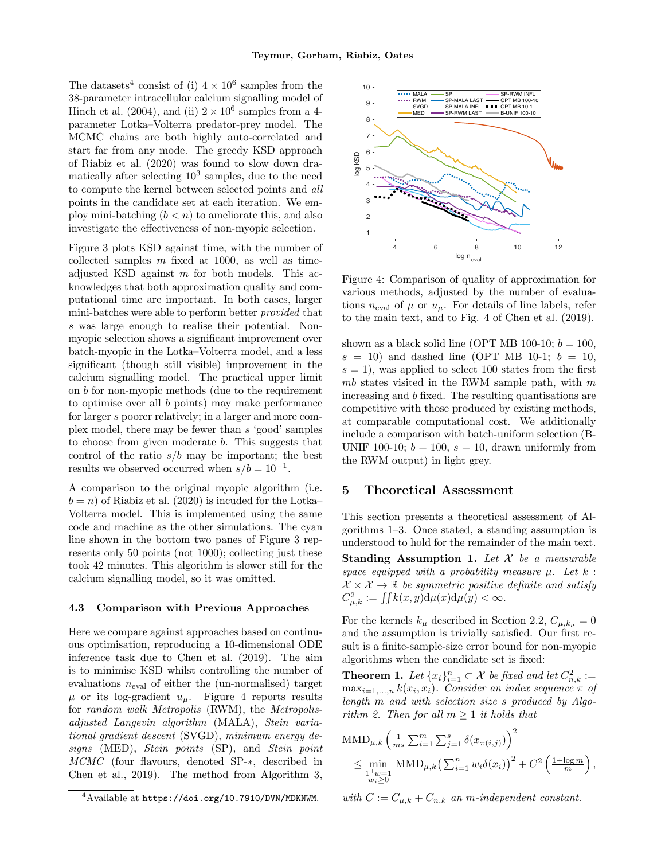The datasets<sup>4</sup> consist of (i)  $4 \times 10^6$  samples from the 38-parameter intracellular calcium signalling model of Hinch et al. (2004), and (ii)  $2 \times 10^6$  samples from a 4parameter Lotka–Volterra predator-prey model. The MCMC chains are both highly auto-correlated and start far from any mode. The greedy KSD approach of Riabiz et al. (2020) was found to slow down dramatically after selecting  $10^3$  samples, due to the need to compute the kernel between selected points and *all* points in the candidate set at each iteration. We employ mini-batching  $(b < n)$  to ameliorate this, and also investigate the effectiveness of non-myopic selection.

Figure 3 plots KSD against time, with the number of collected samples *m* fixed at 1000, as well as timeadjusted KSD against *m* for both models. This acknowledges that both approximation quality and computational time are important. In both cases, larger mini-batches were able to perform better *provided* that *s* was large enough to realise their potential. Nonmyopic selection shows a significant improvement over batch-myopic in the Lotka–Volterra model, and a less significant (though still visible) improvement in the calcium signalling model. The practical upper limit on *b* for non-myopic methods (due to the requirement to optimise over all *b* points) may make performance for larger *s* poorer relatively; in a larger and more complex model, there may be fewer than *s* 'good' samples to choose from given moderate *b*. This suggests that control of the ratio *s/b* may be important; the best results we observed occurred when  $s/b = 10^{-1}$ .

A comparison to the original myopic algorithm (i.e.  $b = n$ ) of Riabiz et al. (2020) is incuded for the Lotka– Volterra model. This is implemented using the same code and machine as the other simulations. The cyan line shown in the bottom two panes of Figure 3 represents only 50 points (not 1000); collecting just these took 42 minutes. This algorithm is slower still for the calcium signalling model, so it was omitted.

#### 4.3 Comparison with Previous Approaches

Here we compare against approaches based on continuous optimisation, reproducing a 10-dimensional ODE inference task due to Chen et al. (2019). The aim is to minimise KSD whilst controlling the number of evaluations  $n_{eval}$  of either the (un-normalised) target  $\mu$  or its log-gradient  $u_{\mu}$ . Figure 4 reports results for *random walk Metropolis* (RWM), the *Metropolisadjusted Langevin algorithm* (MALA), *Stein variational gradient descent* (SVGD), *minimum energy designs* (MED), *Stein points* (SP), and *Stein point MCMC* (four flavours, denoted SP-∗, described in Chen et al., 2019). The method from Algorithm 3,



Figure 4: Comparison of quality of approximation for various methods, adjusted by the number of evaluations  $n_{eval}$  of  $\mu$  or  $u_{\mu}$ . For details of line labels, refer to the main text, and to Fig. 4 of Chen et al. (2019).

shown as a black solid line (OPT MB 100-10;  $b = 100$ ,  $s = 10$ ) and dashed line (OPT MB 10-1;  $b = 10$ ,  $s = 1$ , was applied to select 100 states from the first *mb* states visited in the RWM sample path, with *m* increasing and *b* fixed. The resulting quantisations are competitive with those produced by existing methods, at comparable computational cost. We additionally include a comparison with batch-uniform selection (B-UNIF 100-10;  $b = 100$ ,  $s = 10$ , drawn uniformly from the RWM output) in light grey.

#### 5 Theoretical Assessment

This section presents a theoretical assessment of Algorithms 1–3. Once stated, a standing assumption is understood to hold for the remainder of the main text.

Standing Assumption 1. *Let X be a measurable space equipped with a probability measure*  $\mu$ *. Let*  $k$  :  $\mathcal{X} \times \mathcal{X} \rightarrow \mathbb{R}$  *be symmetric positive definite and satisfy*  $C_{\mu,k}^2 := \iint k(x,y) d\mu(x) d\mu(y) < \infty.$ 

For the kernels  $k_{\mu}$  described in Section 2.2,  $C_{\mu, k_{\mu}} = 0$ and the assumption is trivially satisfied. Our first result is a finite-sample-size error bound for non-myopic algorithms when the candidate set is fixed:

**Theorem 1.** Let  $\{x_i\}_{i=1}^n \subset \mathcal{X}$  be fixed and let  $C_{n,k}^2 :=$  $\max_{i=1,\dots,n} k(x_i, x_i)$ . Consider an index sequence  $\pi$  of *length m and with selection size s produced by Algorithm* 2. Then for all  $m \geq 1$  *it holds that* 

$$
\begin{split} \text{MMD}_{\mu,k} \left( \frac{1}{ms} \sum_{i=1}^{m} \sum_{j=1}^{s} \delta(x_{\pi(i,j)}) \right)^2 \\ &\leq \min_{\substack{1 \text{ with } \\ w_i \geq 0}} \text{MMD}_{\mu,k} \left( \sum_{i=1}^{n} w_i \delta(x_i) \right)^2 + C^2 \left( \frac{1 + \log m}{m} \right) \end{split}
$$

*,*

*with*  $C := C_{\mu,k} + C_{n,k}$  *an m-independent constant.* 

<sup>&</sup>lt;sup>4</sup>Available at https://doi.org/10.7910/DVN/MDKNWM.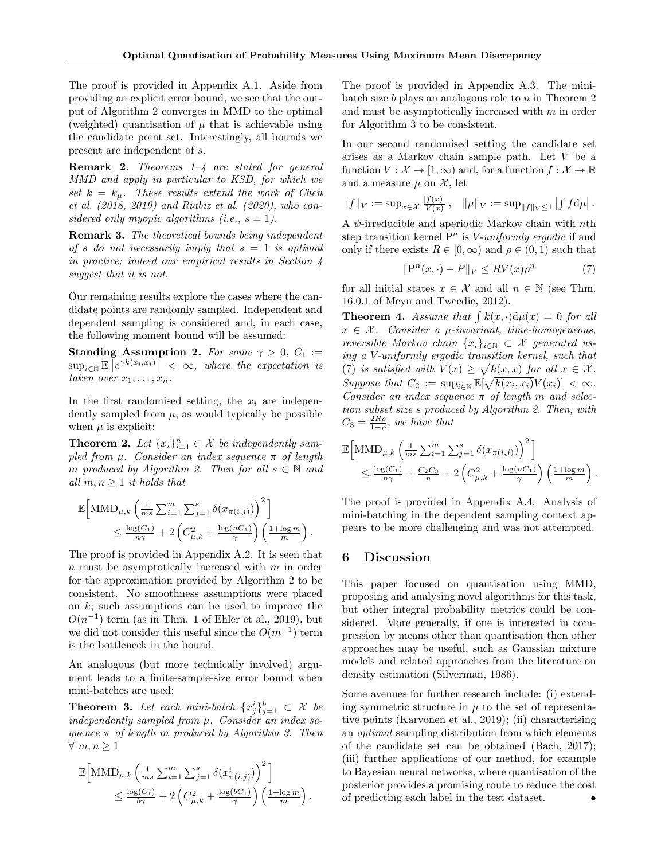The proof is provided in Appendix A.1. Aside from providing an explicit error bound, we see that the output of Algorithm 2 converges in MMD to the optimal (weighted) quantisation of  $\mu$  that is achievable using the candidate point set. Interestingly, all bounds we present are independent of *s*.

Remark 2. *Theorems 1–4 are stated for general MMD and apply in particular to KSD, for which we*  $\int$ *set*  $k = k_{\mu}$ *. These results extend the work of Chen et al. (2018, 2019) and Riabiz et al. (2020), who considered only myopic algorithms* (*i.e.*,  $s = 1$ ).

Remark 3. *The theoretical bounds being independent of s do not necessarily imply that s* = 1 *is optimal in practice; indeed our empirical results in Section 4 suggest that it is not.*

Our remaining results explore the cases where the candidate points are randomly sampled. Independent and dependent sampling is considered and, in each case, the following moment bound will be assumed:

**Standing Assumption 2.** For some  $\gamma > 0$ ,  $C_1 :=$  $\sup_{i \in \mathbb{N}} \mathbb{E} \left[ e^{\gamma k(x_i, x_i)} \right] < \infty$ , where the expectation is *taken over*  $x_1, \ldots, x_n$ *.* 

In the first randomised setting, the  $x_i$  are independently sampled from  $\mu$ , as would typically be possible when  $\mu$  is explicit:

**Theorem 2.** Let  $\{x_i\}_{i=1}^n \subset \mathcal{X}$  be independently sam $p$ *led from*  $\mu$ *. Consider an index sequence*  $\pi$  *of length m* produced by Algorithm 2. Then for all  $s \in \mathbb{N}$  and *all*  $m, n \geq 1$  *it holds that* 

$$
\mathbb{E}\Big[\text{MMD}_{\mu,k}\left(\frac{1}{ms}\sum_{i=1}^m\sum_{j=1}^s\delta(x_{\pi(i,j)})\right)^2\Big] \n\leq \frac{\log(C_1)}{n\gamma} + 2\left(C_{\mu,k}^2 + \frac{\log(nC_1)}{\gamma}\right)\left(\frac{1+\log m}{m}\right).
$$

The proof is provided in Appendix A.2. It is seen that *n* must be asymptotically increased with *m* in order for the approximation provided by Algorithm 2 to be consistent. No smoothness assumptions were placed on *k*; such assumptions can be used to improve the  $O(n^{-1})$  term (as in Thm. 1 of Ehler et al., 2019), but we did not consider this useful since the  $O(m^{-1})$  term is the bottleneck in the bound.

An analogous (but more technically involved) argument leads to a finite-sample-size error bound when mini-batches are used:

**Theorem 3.** Let each mini-batch  $\{x_j^i\}_{j=1}^b \subset \mathcal{X}$  be *independently sampled from µ. Consider an index sequence* π *of length m produced by Algorithm 3. Then*  $∀ m, n ≥ 1$ 

$$
\mathbb{E}\Big[\text{MMD}_{\mu,k}\left(\frac{1}{ms}\sum_{i=1}^m\sum_{j=1}^s\delta(x^i_{\pi(i,j)})\right)^2\Big] \n\leq \frac{\log(C_1)}{b\gamma} + 2\left(C_{\mu,k}^2 + \frac{\log(bC_1)}{\gamma}\right)\left(\frac{1+\log m}{m}\right).
$$

The proof is provided in Appendix A.3. The minibatch size *b* plays an analogous role to *n* in Theorem 2 and must be asymptotically increased with *m* in order for Algorithm 3 to be consistent.

In our second randomised setting the candidate set arises as a Markov chain sample path. Let *V* be a function  $V: \mathcal{X} \to [1,\infty)$  and, for a function  $f: \mathcal{X} \to \mathbb{R}$ and a measure  $\mu$  on  $\mathcal{X}$ , let

$$
||f||_V := \sup_{x \in \mathcal{X}} \frac{|f(x)|}{V(x)}, \quad ||\mu||_V := \sup_{||f||_V \le 1} | \int f d\mu |.
$$

A ψ-irreducible and aperiodic Markov chain with *n*th step transition kernel P*<sup>n</sup>* is *V-uniformly ergodic* if and only if there exists  $R \in [0, \infty)$  and  $\rho \in (0, 1)$  such that

$$
\|\mathbf{P}^n(x,\cdot) - P\|_V \le RV(x)\rho^n \tag{7}
$$

for all initial states  $x \in \mathcal{X}$  and all  $n \in \mathbb{N}$  (see Thm. 16.0.1 of Meyn and Tweedie, 2012).

**Theorem 4.** Assume that  $\int k(x, \cdot) d\mu(x) = 0$  for all  $x \in \mathcal{X}$ *. Consider a µ-invariant, time-homogeneous, reversible Markov chain*  $\{x_i\}_{i\in\mathbb{N}} \subset \mathcal{X}$  *generated using a V-uniformly ergodic transition kernel, such that* (7) *is satisfied with*  $V(x) \geq \sqrt{k(x,x)}$  *for all*  $x \in \mathcal{X}$ *.*  $Suppose that C_2 := \sup_{i \in \mathbb{N}} \mathbb{E}[\sqrt{k(x_i, x_i)}V(x_i)] < \infty.$ *Consider an index sequence*  $\pi$  *of length*  $m$  *and selection subset size s produced by Algorithm 2. Then, with*  $C_3 = \frac{2R\rho}{1-\rho}$ , *we have that* 

$$
\mathbb{E}\Big[\text{MMD}_{\mu,k}\left(\frac{1}{ms}\sum_{i=1}^m\sum_{j=1}^s \delta(x_{\pi(i,j)})\right)^2\Big] \leq \frac{\log(C_1)}{n\gamma} + \frac{C_2C_3}{n} + 2\left(C_{\mu,k}^2 + \frac{\log(nC_1)}{\gamma}\right)\left(\frac{1+\log m}{m}\right).
$$

The proof is provided in Appendix A.4. Analysis of mini-batching in the dependent sampling context appears to be more challenging and was not attempted.

#### 6 Discussion

This paper focused on quantisation using MMD, proposing and analysing novel algorithms for this task, but other integral probability metrics could be considered. More generally, if one is interested in compression by means other than quantisation then other approaches may be useful, such as Gaussian mixture models and related approaches from the literature on density estimation (Silverman, 1986).

Some avenues for further research include: (i) extending symmetric structure in  $\mu$  to the set of representative points (Karvonen et al., 2019); (ii) characterising an *optimal* sampling distribution from which elements of the candidate set can be obtained (Bach, 2017); (iii) further applications of our method, for example to Bayesian neural networks, where quantisation of the posterior provides a promising route to reduce the cost of predicting each label in the test dataset. *•*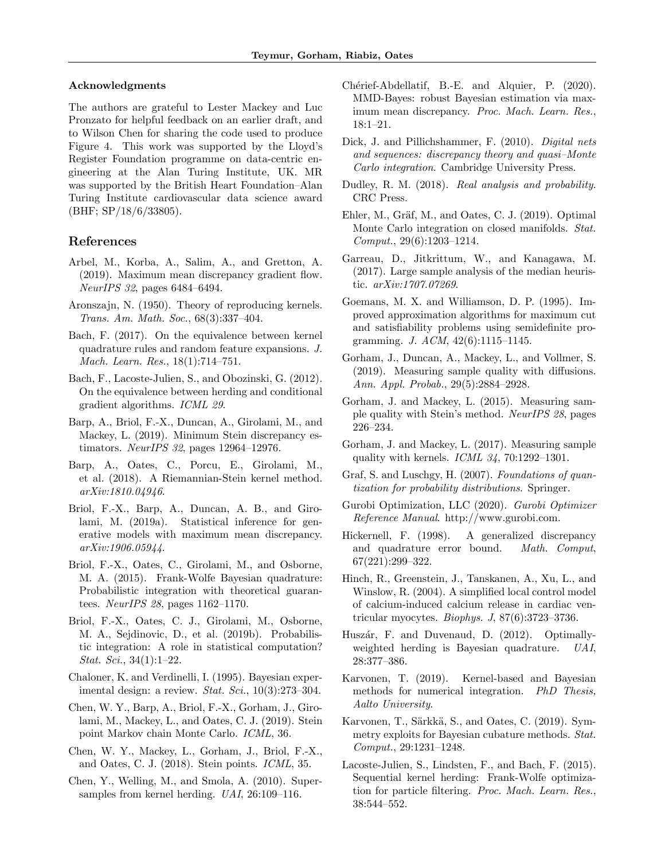#### Acknowledgments

The authors are grateful to Lester Mackey and Luc Pronzato for helpful feedback on an earlier draft, and to Wilson Chen for sharing the code used to produce Figure 4. This work was supported by the Lloyd's Register Foundation programme on data-centric engineering at the Alan Turing Institute, UK. MR was supported by the British Heart Foundation–Alan Turing Institute cardiovascular data science award (BHF; SP/18/6/33805).

#### References

- Arbel, M., Korba, A., Salim, A., and Gretton, A. (2019). Maximum mean discrepancy gradient flow. *NeurIPS 32*, pages 6484–6494.
- Aronszajn, N. (1950). Theory of reproducing kernels. *Trans. Am. Math. Soc.*, 68(3):337–404.
- Bach, F. (2017). On the equivalence between kernel quadrature rules and random feature expansions. *J. Mach. Learn. Res.*, 18(1):714–751.
- Bach, F., Lacoste-Julien, S., and Obozinski, G. (2012). On the equivalence between herding and conditional gradient algorithms. *ICML 29*.
- Barp, A., Briol, F.-X., Duncan, A., Girolami, M., and Mackey, L. (2019). Minimum Stein discrepancy estimators. *NeurIPS 32*, pages 12964–12976.
- Barp, A., Oates, C., Porcu, E., Girolami, M., et al. (2018). A Riemannian-Stein kernel method. *arXiv:1810.04946*.
- Briol, F.-X., Barp, A., Duncan, A. B., and Girolami, M. (2019a). Statistical inference for generative models with maximum mean discrepancy. *arXiv:1906.05944*.
- Briol, F.-X., Oates, C., Girolami, M., and Osborne, M. A. (2015). Frank-Wolfe Bayesian quadrature: Probabilistic integration with theoretical guarantees. *NeurIPS 28*, pages 1162–1170.
- Briol, F.-X., Oates, C. J., Girolami, M., Osborne, M. A., Sejdinovic, D., et al. (2019b). Probabilistic integration: A role in statistical computation? *Stat. Sci.*, 34(1):1–22.
- Chaloner, K. and Verdinelli, I. (1995). Bayesian experimental design: a review. *Stat. Sci.*, 10(3):273–304.
- Chen, W. Y., Barp, A., Briol, F.-X., Gorham, J., Girolami, M., Mackey, L., and Oates, C. J. (2019). Stein point Markov chain Monte Carlo. *ICML*, 36.
- Chen, W. Y., Mackey, L., Gorham, J., Briol, F.-X., and Oates, C. J. (2018). Stein points. *ICML*, 35.
- Chen, Y., Welling, M., and Smola, A. (2010). Supersamples from kernel herding. *UAI*, 26:109–116.
- Chérief-Abdellatif, B.-E. and Alquier, P. (2020). MMD-Bayes: robust Bayesian estimation via maximum mean discrepancy. *Proc. Mach. Learn. Res.*, 18:1–21.
- Dick, J. and Pillichshammer, F. (2010). *Digital nets and sequences: discrepancy theory and quasi–Monte Carlo integration*. Cambridge University Press.
- Dudley, R. M. (2018). *Real analysis and probability*. CRC Press.
- Ehler, M., Gräf, M., and Oates, C. J. (2019). Optimal Monte Carlo integration on closed manifolds. *Stat. Comput.*, 29(6):1203–1214.
- Garreau, D., Jitkrittum, W., and Kanagawa, M. (2017). Large sample analysis of the median heuristic. *arXiv:1707.07269*.
- Goemans, M. X. and Williamson, D. P. (1995). Improved approximation algorithms for maximum cut and satisfiability problems using semidefinite programming. *J. ACM*, 42(6):1115–1145.
- Gorham, J., Duncan, A., Mackey, L., and Vollmer, S. (2019). Measuring sample quality with diffusions. *Ann. Appl. Probab.*, 29(5):2884–2928.
- Gorham, J. and Mackey, L. (2015). Measuring sample quality with Stein's method. *NeurIPS 28*, pages 226–234.
- Gorham, J. and Mackey, L. (2017). Measuring sample quality with kernels. *ICML 34*, 70:1292–1301.
- Graf, S. and Luschgy, H. (2007). *Foundations of quantization for probability distributions*. Springer.
- Gurobi Optimization, LLC (2020). *Gurobi Optimizer Reference Manual*. http://www.gurobi.com.
- Hickernell, F. (1998). A generalized discrepancy and quadrature error bound. *Math. Comput*, 67(221):299–322.
- Hinch, R., Greenstein, J., Tanskanen, A., Xu, L., and Winslow, R. (2004). A simplified local control model of calcium-induced calcium release in cardiac ventricular myocytes. *Biophys. J*, 87(6):3723–3736.
- Huszár, F. and Duvenaud, D. (2012). Optimallyweighted herding is Bayesian quadrature. *UAI*, 28:377–386.
- Karvonen, T. (2019). Kernel-based and Bayesian methods for numerical integration. *PhD Thesis, Aalto University*.
- Karvonen, T., Särkkä, S., and Oates, C. (2019). Symmetry exploits for Bayesian cubature methods. *Stat. Comput.*, 29:1231–1248.
- Lacoste-Julien, S., Lindsten, F., and Bach, F. (2015). Sequential kernel herding: Frank-Wolfe optimization for particle filtering. *Proc. Mach. Learn. Res.*, 38:544–552.